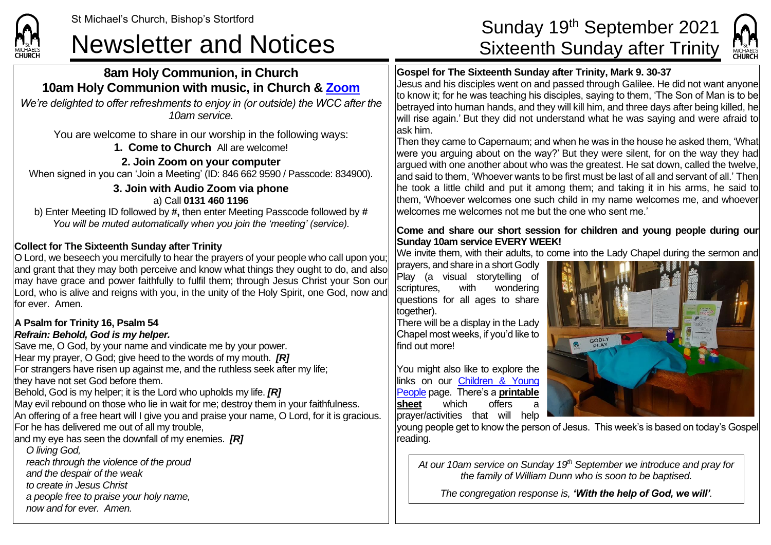**CHURCH** 

### Newsletter and Notices Sixteenth Sunday after Trinity

### **8am Holy Communion, in Church 10am Holy Communion with music, in Church & [Zoom](https://zoom.us/)**

*We're delighted to offer refreshments to enjoy in (or outside) the WCC after the 10am service.*

You are welcome to share in our worship in the following ways: **1. Come to Church** All are welcome!

**2. Join Zoom on your computer** When signed in you can 'Join a Meeting' (ID: 846 662 9590 / Passcode: 834900).

### **3. Join with Audio Zoom via phone**

a) Call **0131 460 1196** b) Enter Meeting ID followed by **#,** then enter Meeting Passcode followed by **#** *You will be muted automatically when you join the 'meeting' (service).*

### **Collect for The Sixteenth Sunday after Trinity**

O Lord, we beseech you mercifully to hear the prayers of your people who call upon you; and grant that they may both perceive and know what things they ought to do, and also may have grace and power faithfully to fulfil them; through Jesus Christ your Son our Lord, who is alive and reigns with you, in the unity of the Holy Spirit, one God, now and for ever. Amen.

### **A Psalm for Trinity 16, Psalm 54** *Refrain: Behold, God is my helper.*

Save me, O God, by your name and vindicate me by your power. Hear my prayer, O God; give heed to the words of my mouth. *[R]* For strangers have risen up against me, and the ruthless seek after my life; they have not set God before them. Behold, God is my helper; it is the Lord who upholds my life. *[R]* May evil rebound on those who lie in wait for me; destroy them in your faithfulness.

An offering of a free heart will I give you and praise your name, O Lord, for it is gracious. For he has delivered me out of all my trouble,

and my eye has seen the downfall of my enemies. *[R]*

*O living God,*

*reach through the violence of the proud*

*and the despair of the weak*

*to create in Jesus Christ*

*a people free to praise your holy name,*

*now and for ever. Amen.*

# St Michael's Church, Bishop's Stortford Sunday 19<sup>th</sup> September 2021



### **Gospel for The Sixteenth Sunday after Trinity, Mark 9. 30-37**

Jesus and his disciples went on and passed through Galilee. He did not want anyone to know it; for he was teaching his disciples, saying to them, 'The Son of Man is to be betrayed into human hands, and they will kill him, and three days after being killed, he will rise again.' But they did not understand what he was saying and were afraid to ask him.

Then they came to Capernaum; and when he was in the house he asked them, 'What were you arguing about on the way?' But they were silent, for on the way they had argued with one another about who was the greatest. He sat down, called the twelve, and said to them. 'Whoever wants to be first must be last of all and servant of all.' Then he took a little child and put it among them; and taking it in his arms, he said to them, 'Whoever welcomes one such child in my name welcomes me, and whoever welcomes me welcomes not me but the one who sent me.'

#### **Come and share our short session for children and young people during our Sunday 10am service EVERY WEEK!**

We invite them, with their adults, to come into the Lady Chapel during the sermon and

prayers, and share in a short Godly Play (a visual storytelling of scriptures, with wondering questions for all ages to share together).

There will be a display in the Lady Chapel most weeks, if you'd like to find out more!

You might also like to explore the links on our Children & Young [People](https://saintmichaelweb.org.uk/Groups/310496/Children_and_Young.aspx) page. There's a **[printable](https://saintmichaelweb.org.uk/Groups/310496/Children_and_Young.aspx)  [sheet](https://saintmichaelweb.org.uk/Groups/310496/Children_and_Young.aspx)** which offers prayer/activities that will help



young people get to know the person of Jesus. This week's is based on today's Gospel reading.

*At our 10am service on Sunday 19th September we introduce and pray for the family of William Dunn who is soon to be baptised.*

*The congregation response is, 'With the help of God, we will'.*